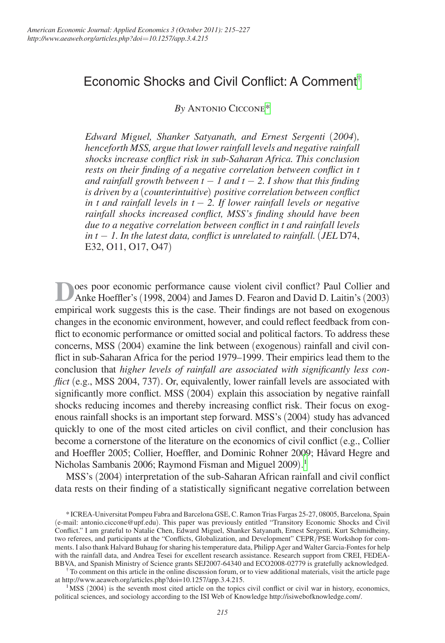# Economic Shocks and Civil Conflict: A Comment[†](#page-0-1)

*By* Antonio Ciccone[\\*](#page-0-2)

*Edward Miguel, Shanker Satyanath, and Ernest Sergenti* (*2004*)*, henceforth MSS, argue that lower rainfall levels and negative rainfall shocks increase conflict risk in sub-Saharan Africa. This conclusion rests on their finding of a negative correlation between conflict in t and rainfall growth between t*  $-1$  *and t*  $-2$ . *I show that this finding is driven by a* (*counterintuitive*) *positive correlation between conflict in t and rainfall levels in t* − *2. If lower rainfall levels or negative rainfall shocks increased conflict, MSS's finding should have been due to a negative correlation between conflict in t and rainfall levels in t* − *1. In the latest data, conflict is unrelated to rainfall.* (*JEL* D74, E32, O11, O17, O47)

**D**oes poor economic performance cause violent civil conflict? Paul Collier and Anke Hoeffler's (1998, 2004) and James D. Fearon and David D. Laitin's (2003) empirical work suggests this is the case. Their findings are not based on exogenous changes in the economic environment, however, and could reflect feedback from conflict to economic performance or omitted social and political factors. To address these concerns, MSS (2004) examine the link between (exogenous) rainfall and civil conflict in sub-Saharan Africa for the period 1979–1999. Their empirics lead them to the conclusion that *higher levels of rainfall are associated with significantly less conflict* (e.g., MSS 2004, 737). Or, equivalently, lower rainfall levels are associated with significantly more conflict. MSS (2004) explain this association by negative rainfall shocks reducing incomes and thereby increasing conflict risk. Their focus on exogenous rainfall shocks is an important step forward. MSS's (2004) study has advanced quickly to one of the most cited articles on civil conflict, and their conclusion has become a cornerstone of the literature on the economics of civil conflict (e.g., Collier and Hoeffler 2005; Collier, Hoeffler, and Dominic Rohner 2009; Håvard Hegre and Nicholas Sambanis 2006; Raymond Fisman and Miguel 2009). [1](#page-0-0)

MSS's (2004) interpretation of the sub-Saharan African rainfall and civil conflict data rests on their finding of a statistically significant negative correlation between

<span id="page-0-1"></span> $\dot{\tau}$  To comment on this article in the online discussion forum, or to view additional materials, visit the article page at <http://www.aeaweb.org/articles.php?doi=10.1257/app.3.4.215>.

<span id="page-0-0"></span> $1<sup>1</sup>MSS$  (2004) is the seventh most cited article on the topics civil conflict or civil war in history, economics, political sciences, and sociology according to the ISI Web of Knowledge http://isiwebofknowledge.com/.

<span id="page-0-2"></span><sup>\*</sup>ICREA-Universitat Pompeu Fabra and Barcelona GSE, C. Ramon Trias Fargas 25-27, 08005, Barcelona, Spain (e-mail: [antonio.ciccone@upf.edu](mailto:antonio.ciccone@upf.edu)). This paper was previously entitled "Transitory Economic Shocks and Civil Conflict." I am grateful to Natalie Chen, Edward Miguel, Shanker Satyanath, Ernest Sergenti, Kurt Schmidheiny, two referees, and participants at the "Conflicts, Globalization, and Development" CEPR/PSE Workshop for comments. I also thank Halvard Buhaug for sharing his temperature data, Philipp Ager and Walter Garcia-Fontes for help with the rainfall data, and Andrea Tesei for excellent research assistance. Research support from CREI, FEDEA-<br>BBVA, and Spanish Ministry of Science grants SEJ2007-64340 and ECO2008-02779 is gratefully acknowledged.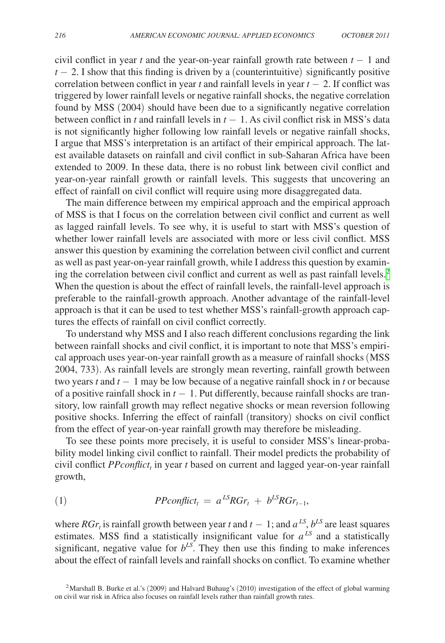civil conflict in year *t* and the year-on-year rainfall growth rate between  $t - 1$  and  $t - 2$ . I show that this finding is driven by a (counterintuitive) significantly positive correlation between conflict in year  $t$  and rainfall levels in year  $t - 2$ . If conflict was triggered by lower rainfall levels or negative rainfall shocks, the negative correlation found by MSS (2004) should have been due to a significantly negative correlation between conflict in *t* and rainfall levels in  $t - 1$ . As civil conflict risk in MSS's data is not significantly higher following low rainfall levels or negative rainfall shocks, I argue that MSS's interpretation is an artifact of their empirical approach. The latest available datasets on rainfall and civil conflict in sub-Saharan Africa have been extended to 2009. In these data, there is no robust link between civil conflict and year-on-year rainfall growth or rainfall levels. This suggests that uncovering an effect of rainfall on civil conflict will require using more disaggregated data.

The main difference between my empirical approach and the empirical approach of MSS is that I focus on the correlation between civil conflict and current as well as lagged rainfall levels. To see why, it is useful to start with MSS's question of whether lower rainfall levels are associated with more or less civil conflict. MSS answer this question by examining the correlation between civil conflict and current as well as past year-on-year rainfall growth, while I address this question by examin-ing the correlation between civil conflict and current as well as past rainfall levels.<sup>[2](#page-1-0)</sup> When the question is about the effect of rainfall levels, the rainfall-level approach is preferable to the rainfall-growth approach. Another advantage of the rainfall-level approach is that it can be used to test whether MSS's rainfall-growth approach captures the effects of rainfall on civil conflict correctly.

To understand why MSS and I also reach different conclusions regarding the link between rainfall shocks and civil conflict, it is important to note that MSS's empirical approach uses year-on-year rainfall growth as a measure of rainfall shocks (MSS 2004, 733). As rainfall levels are strongly mean reverting, rainfall growth between two years *t* and *t* − 1 may be low because of a negative rainfall shock in *t* or because of a positive rainfall shock in  $t - 1$ . Put differently, because rainfall shocks are transitory, low rainfall growth may reflect negative shocks or mean reversion following positive shocks. Inferring the effect of rainfall (transitory) shocks on civil conflict from the effect of year-on-year rainfall growth may therefore be misleading.

To see these points more precisely, it is useful to consider MSS's linear-probability model linking civil conflict to rainfall. Their model predicts the probability of civil conflict *PPconflict*, in year *t* based on current and lagged year-on-year rainfall growth,

$$
(1) \t\t PPconflict_t = a^{LS} RGr_t + b^{LS} RGr_{t-1},
$$

where *RGr*<sub>t</sub> is rainfall growth between year *t* and  $t - 1$ ; and  $a^{LS}$ ,  $b^{LS}$  are least squares estimates. MSS find a statistically insignificant value for  $a^{LS}$  and a statistically significant, negative value for  $b^{LS}$ . They then use this finding to make inferences about the effect of rainfall levels and rainfall shocks on conflict. To examine whether

<span id="page-1-0"></span><sup>&</sup>lt;sup>2</sup>Marshall B. Burke et al.'s (2009) and Halvard Buhaug's (2010) investigation of the effect of global warming on civil war risk in Africa also focuses on rainfall levels rather than rainfall growth rates.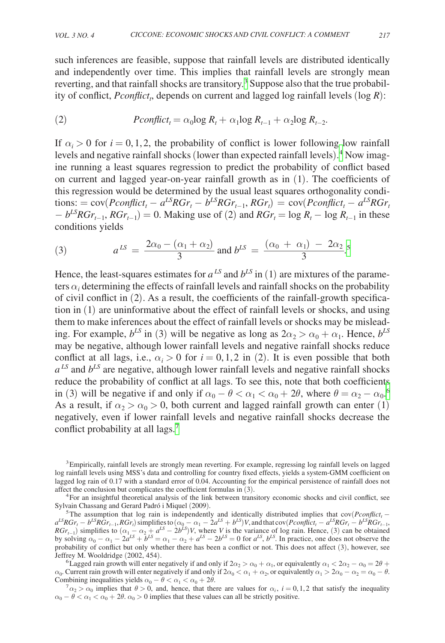such inferences are feasible, suppose that rainfall levels are distributed identically and independently over time. This implies that rainfall levels are strongly mean reverting, and that rainfall shocks are transitory.<sup>[3](#page-2-0)</sup> Suppose also that the true probability of conflict, *Pconflict*, depends on current and lagged log rainfall levels (log *R*):

(2) 
$$
Pconflict_t = \alpha_0 \log R_t + \alpha_1 \log R_{t-1} + \alpha_2 \log R_{t-2}.
$$

If  $\alpha_i > 0$  for  $i = 0, 1, 2$ , the probability of conflict is lower following low rainfall levels and negative rainfall shocks (lower than expected rainfall levels).<sup>[4](#page-2-1)</sup> Now imagine running a least squares regression to predict the probability of conflict based on current and lagged year-on-year rainfall growth as in (1). The coefficients of this regression would be determined by the usual least squares orthogonality condi $t_{\text{cross}} = \text{cov}(Pconflict_t - a^{LS}RGr_t - b^{LS}RGr_{t-1}, RGr_t) = \text{cov}(Pconflict_t - a^{LS}RGr_t)$  $-b^{LS}RGr_{t-1}$ , $RGr_{t-1}$ ) = 0. Making use of (2) and  $RGr_t = \log R_t - \log R_{t-1}$  in these<br>
conditions yields<br>
(3)  $a^{LS} = \frac{2\alpha_0 - (\alpha_1 + \alpha_2)}{3}$  and  $b^{LS} = \frac{(\alpha_0 + \alpha_1) - 2\alpha_2}{3}$ .<sup>5</sup><br>
Hence, the least-squares estimates for  $a^{LS}$ conditions yields

$$
- b^{T} \operatorname{Ker}_{t-1}, \operatorname{Ker}_{t-1} = 0. \text{ Making use of (2) and } \operatorname{Ker}_{t} = \log R_{t} - \log R_{t-1}
$$
  
conditions yields  
(3) 
$$
a^{LS} = \frac{2\alpha_{0} - (\alpha_{1} + \alpha_{2})}{3} \text{ and } b^{LS} = \frac{(\alpha_{0} + \alpha_{1}) - 2\alpha_{2}}{3}.
$$

Hence, the least-squares estimates for  $a^{LS}$  and  $b^{LS}$  in (1) are mixtures of the parameters  $\alpha_i$  determining the effects of rainfall levels and rainfall shocks on the probability of civil conflict in (2). As a result, the coefficients of the rainfall-growth specification in (1) are uninformative about the effect of rainfall levels or shocks, and using them to make inferences about the effect of rainfall levels or shocks may be misleading. For example,  $b^{LS}$  in (3) will be negative as long as  $2\alpha_2 > \alpha_0 + \alpha_1$ . Hence,  $b^{LS}$ may be negative, although lower rainfall levels and negative rainfall shocks reduce conflict at all lags, i.e.,  $\alpha_i > 0$  for  $i = 0, 1, 2$  in (2). It is even possible that both  $a^{LS}$  and  $b^{LS}$  are negative, although lower rainfall levels and negative rainfall shocks reduce the probability of conflict at all lags. To see this, note that both coefficients in (3) will be negative if and only if  $\alpha_0 - \theta < \alpha_1 < \alpha_0 + 2\theta$ , where  $\theta = \alpha_2 - \alpha_0$ . As a result, if  $\alpha_2 > \alpha_0 > 0$ , both current and lagged rainfall growth can enter (1) negatively, even if lower rainfall levels and negative rainfall shocks decrease the conflict probability at all lags.<sup>[7](#page-2-4)</sup>

<span id="page-2-0"></span><sup>3</sup>Empirically, rainfall levels are strongly mean reverting. For example, regressing log rainfall levels on lagged log rainfall levels using MSS's data and controlling for country fixed effects, yields a system-GMM coefficient on lagged log rain of 0.17 with a standard error of 0.04. Accounting for the empirical persistence of rainfall does not

<span id="page-2-1"></span>affect the conclusion but complicates the coefficient formulas in (3).<br><sup>4</sup>For an insightful theoretical analysis of the link between transitory economic shocks and civil conflict, see<br>Sylvain Chassang and Gerard Padró i Mi

<span id="page-2-2"></span><sup>&</sup>lt;sup>5</sup>The assumption that log rain is independently and identically distributed implies that  $cov(Pconflict_t$  $a^{LS}RGr_t - b^{LS}RGr_{t-1}$ ,  $RGr_t$ ) simplifies to  $(\alpha_0 - \alpha_1 - 2a^{LS} + b^{LS})V$ , and that cov(*Pconflict<sub>t</sub>* −  $a^{LS}RGr_t - b^{LS}RGr_{t-1}$ , *RGr*<sub>t−1</sub>) simplifies to  $(\alpha_1 - \alpha_2 + a^{LS} - 2b^{LS})V$ , where *V* is the variance of log rain. Hence, (3) can be obtained by solving  $\alpha_0 - \alpha_1 - 2a^{LS} + b^{LS} = \alpha_1 - \alpha_2 + a^{LS} - 2b^{LS} = 0$  for  $a^{LS}$ ,  $b^{LS}$ . In practice, one does not observe the probability of conflict but only whether there has been a conflict or not. This does not affect (3), however, see Jeffrey M. Wooldridge (2002, 454).

<span id="page-2-3"></span><sup>&</sup>lt;sup>6</sup>Lagged rain growth will enter negatively if and only if  $2\alpha_2 > \alpha_0 + \alpha_1$ , or equivalently  $\alpha_1 < 2\alpha_2 - \alpha_0 = 2\theta +$  $\alpha_0$ . Current rain growth will enter negatively if and only if  $2\alpha_0 < \alpha_1 + \alpha_2$ , or equivalently  $\alpha_1 > 2\alpha_0 - \alpha_2 = \alpha_0 - \theta$ .<br>Combining inequalities yields  $\alpha_0 - \theta < \alpha_1 < \alpha_0 + 2\theta$ .

<span id="page-2-4"></span> $C^7 \alpha_2 > \alpha_0$  implies that  $\theta > 0$ , and, hence, that there are values for  $\alpha_i$ ,  $i = 0, 1, 2$  that satisfy the inequality  $\alpha_0 - \theta < \alpha_1 < \alpha_0 + 2\theta$ .  $\alpha_0 > 0$  implies that these values can all be strictly positive.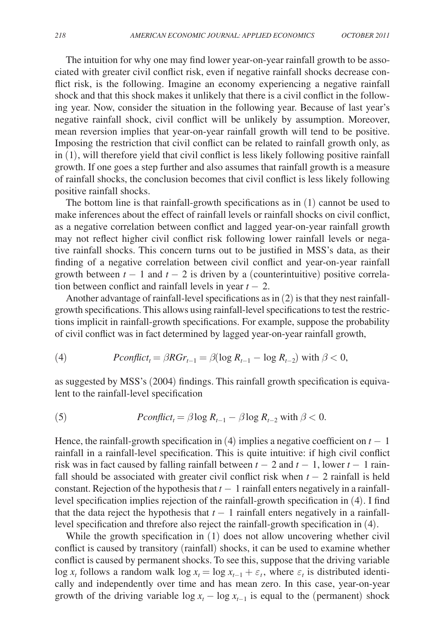The intuition for why one may find lower year-on-year rainfall growth to be associated with greater civil conflict risk, even if negative rainfall shocks decrease conflict risk, is the following. Imagine an economy experiencing a negative rainfall shock and that this shock makes it unlikely that there is a civil conflict in the following year. Now, consider the situation in the following year. Because of last year's negative rainfall shock, civil conflict will be unlikely by assumption. Moreover, mean reversion implies that year-on-year rainfall growth will tend to be positive. Imposing the restriction that civil conflict can be related to rainfall growth only, as in (1), will therefore yield that civil conflict is less likely following positive rainfall growth. If one goes a step further and also assumes that rainfall growth is a measure of rainfall shocks, the conclusion becomes that civil conflict is less likely following positive rainfall shocks.

The bottom line is that rainfall-growth specifications as in (1) cannot be used to make inferences about the effect of rainfall levels or rainfall shocks on civil conflict, as a negative correlation between conflict and lagged year-on-year rainfall growth may not reflect higher civil conflict risk following lower rainfall levels or negative rainfall shocks. This concern turns out to be justified in MSS's data, as their finding of a negative correlation between civil conflict and year-on-year rainfall growth between  $t - 1$  and  $t - 2$  is driven by a (counterintuitive) positive correlation between conflict and rainfall levels in year  $t - 2$ .

Another advantage of rainfall-level specifications as in (2) is that they nest rainfallgrowth specifications. This allows using rainfall-level specifications to test the restrictions implicit in rainfall-growth specifications. For example, suppose the probability of civil conflict was in fact determined by lagged year-on-year rainfall growth,

(4) 
$$
Pconflict_t = \beta RGr_{t-1} = \beta (\log R_{t-1} - \log R_{t-2}) \text{ with } \beta < 0,
$$

as suggested by MSS's (2004) findings. This rainfall growth specification is equivalent to the rainfall-level specification

(5) 
$$
Pconflict_t = \beta \log R_{t-1} - \beta \log R_{t-2} \text{ with } \beta < 0.
$$

Hence, the rainfall-growth specification in  $(4)$  implies a negative coefficient on  $t - 1$ rainfall in a rainfall-level specification. This is quite intuitive: if high civil conflict risk was in fact caused by falling rainfall between  $t - 2$  and  $t - 1$ , lower  $t - 1$  rainfall should be associated with greater civil conflict risk when  $t - 2$  rainfall is held constant. Rejection of the hypothesis that *t* − 1 rainfall enters negatively in a rainfalllevel specification implies rejection of the rainfall-growth specification in (4). I find that the data reject the hypothesis that  $t - 1$  rainfall enters negatively in a rainfalllevel specification and threfore also reject the rainfall-growth specification in (4).

While the growth specification in (1) does not allow uncovering whether civil conflict is caused by transitory (rainfall) shocks, it can be used to examine whether conflict is caused by permanent shocks. To see this, suppose that the driving variable log  $x_t$  follows a random walk log  $x_t = \log x_{t-1} + \varepsilon_t$ , where  $\varepsilon_t$  is distributed identically and independently over time and has mean zero. In this case, year-on-year growth of the driving variable  $\log x_t - \log x_{t-1}$  is equal to the (permanent) shock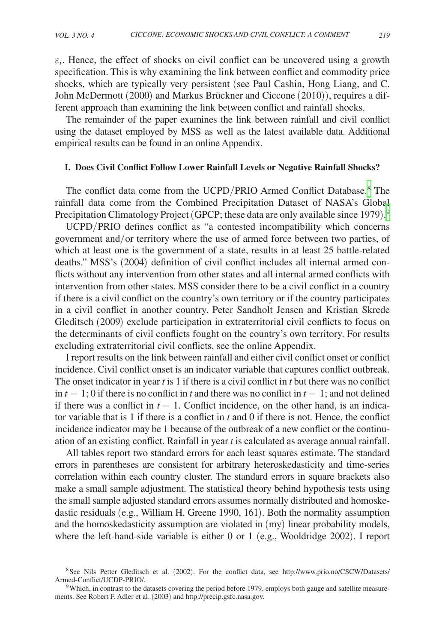<span id="page-4-0"></span> $\varepsilon_t$ . Hence, the effect of shocks on civil conflict can be uncovered using a growth specification. This is why examining the link between conflict and commodity price shocks, which are typically very persistent (see Paul Cashin, Hong Liang, and C. John McDermott (2000) and Markus Brückner and Ciccone (2010)), requires a different approach than examining the link between conflict and rainfall shocks.

The remainder of the paper examines the link between rainfall and civil conflict using the dataset employed by MSS as well as the latest available data. Additional empirical results can be found in an online Appendix.

## **I. Does Civil Conflict Follow Lower Rainfall Levels or Negative Rainfall Shocks?**

The conflict data come from the UCPD/PRIO Armed Conflict Database.[8](#page-4-1) The rainfall data come from the Combined Precipitation Dataset of NASA's Global Precipitation Climatology Project (GPCP; these data are only available since 1[9](#page-4-2)79).<sup>9</sup>

UCPD/PRIO defines conflict as "a contested incompatibility which concerns government and/or territory where the use of armed force between two parties, of which at least one is the government of a state, results in at least 25 battle-related deaths." MSS's (2004) definition of civil conflict includes all internal armed conflicts without any intervention from other states and all internal armed conflicts with intervention from other states. MSS consider there to be a civil conflict in a country if there is a civil conflict on the country's own territory or if the country participates in a civil conflict in another country. Peter Sandholt Jensen and Kristian Skrede Gleditsch (2009) exclude participation in extraterritorial civil conflicts to focus on the determinants of civil conflicts fought on the country's own territory. For results excluding extraterritorial civil conflicts, see the online Appendix.

I report results on the link between rainfall and either civil conflict onset or conflict incidence. Civil conflict onset is an indicator variable that captures conflict outbreak. The onset indicator in year *t* is 1 if there is a civil conflict in *t* but there was no conflict in  $t - 1$ ; 0 if there is no conflict in *t* and there was no conflict in  $t - 1$ ; and not defined if there was a conflict in  $t - 1$ . Conflict incidence, on the other hand, is an indicator variable that is 1 if there is a conflict in *t* and 0 if there is not. Hence, the conflict incidence indicator may be 1 because of the outbreak of a new conflict or the continuation of an existing conflict. Rainfall in year *t* is calculated as average annual rainfall.

All tables report two standard errors for each least squares estimate. The standard errors in parentheses are consistent for arbitrary heteroskedasticity and time-series correlation within each country cluster. The standard errors in square brackets also make a small sample adjustment. The statistical theory behind hypothesis tests using the small sample adjusted standard errors assumes normally distributed and homoskedastic residuals (e.g., William H. Greene 1990, 161). Both the normality assumption and the homoskedasticity assumption are violated in (my) linear probability models, where the left-hand-side variable is either 0 or 1 (e.g., Wooldridge 2002). I report

<span id="page-4-1"></span><sup>&</sup>lt;sup>8</sup>See Nils Petter Gleditsch et al. (2002). For the conflict data, see [http://www.prio.no/CSCW/D](http://www.prio.no/CSCW/)atasets/<br>Armed-Conflict/UCDP-PRIO/.

<span id="page-4-2"></span> $9$ Which, in contrast to the datasets covering the period before 1979, employs both gauge and satellite measurements. See Robert F. Adler et al. (2003) and http://precip.gsfc.nasa.gov.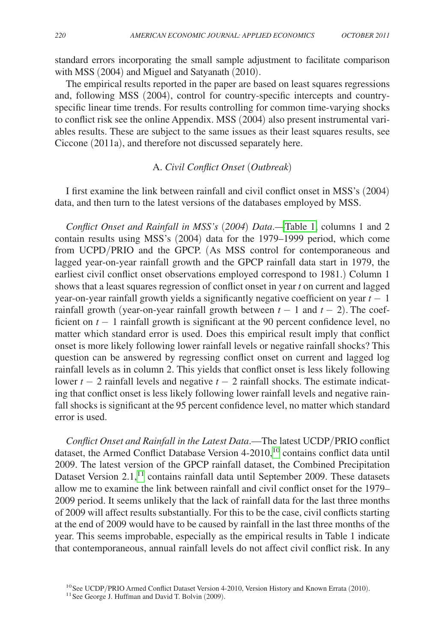<span id="page-5-0"></span>standard errors incorporating the small sample adjustment to facilitate comparison with MSS (2004) and Miguel and Satyanath (2010).

The empirical results reported in the paper are based on least squares regressions and, following MSS (2004), control for country-specific intercepts and countryspecific linear time trends. For results controlling for common time-varying shocks to conflict risk see the online Appendix. MSS (2004) also present instrumental variables results. These are subject to the same issues as their least squares results, see Ciccone (2011a), and therefore not discussed separately here.

# A. *Civil Conflict Onset* (*Outbreak*)

I first examine the link between rainfall and civil conflict onset in MSS's (2004) data, and then turn to the latest versions of the databases employed by MSS.

*Conflict Onset and Rainfall in MSS's* (*2004*) *Data*.[—Table 1,](#page-6-0) columns 1 and 2 contain results using MSS's (2004) data for the 1979–1999 period, which come from UCPD/PRIO and the GPCP. (As MSS control for contemporaneous and lagged year-on-year rainfall growth and the GPCP rainfall data start in 1979, the earliest civil conflict onset observations employed correspond to 1981.) Column 1 shows that a least squares regression of conflict onset in year *t* on current and lagged year-on-year rainfall growth yields a significantly negative coefficient on year *t* − 1 rainfall growth (year-on-year rainfall growth between  $t - 1$  and  $t - 2$ ). The coefficient on *t* − 1 rainfall growth is significant at the 90 percent confidence level, no matter which standard error is used. Does this empirical result imply that conflict onset is more likely following lower rainfall levels or negative rainfall shocks? This question can be answered by regressing conflict onset on current and lagged log rainfall levels as in column 2. This yields that conflict onset is less likely following lower *t* − 2 rainfall levels and negative *t* − 2 rainfall shocks. The estimate indicating that conflict onset is less likely following lower rainfall levels and negative rainfall shocks is significant at the 95 percent confidence level, no matter which standard error is used.

*Conflict Onset and Rainfall in the Latest Data*.—The latest UCDP/PRIO conflict dataset, the Armed Conflict Database Version 4-2010,<sup>10</sup> contains conflict data until 2009. The latest version of the GPCP rainfall dataset, the Combined Precipitation Dataset Version 2.1,<sup>11</sup> contains rainfall data until September 2009. These datasets allow me to examine the link between rainfall and civil conflict onset for the 1979– 2009 period. It seems unlikely that the lack of rainfall data for the last three months of 2009 will affect results substantially. For this to be the case, civil conflicts starting at the end of 2009 would have to be caused by rainfall in the last three months of the year. This seems improbable, especially as the empirical results in Table 1 indicate that contemporaneous, annual rainfall levels do not affect civil conflict risk. In any

<span id="page-5-1"></span><sup>&</sup>lt;sup>10</sup>See UCDP/PRIO Armed Conflict Dataset Version 4-2010, Version History and Known Errata (2010).<br><sup>11</sup>See George J. Huffman and David T. Bolvin (2009).

<span id="page-5-2"></span>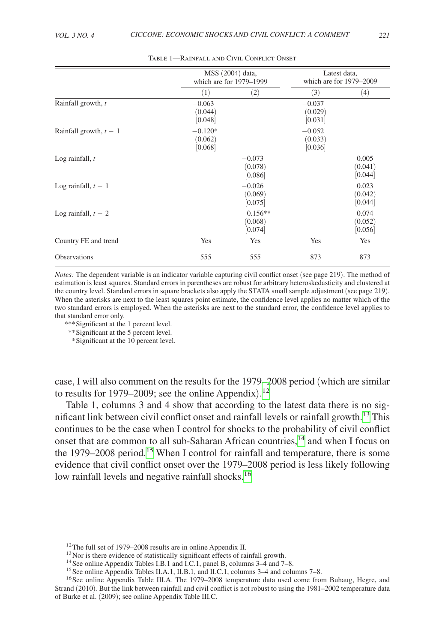<span id="page-6-0"></span>

|                          |                                 | MSS (2004) data,<br>which are for 1979–1999 |                                | Latest data,<br>which are for 1979–2009 |
|--------------------------|---------------------------------|---------------------------------------------|--------------------------------|-----------------------------------------|
|                          | (1)                             | (2)                                         | (3)                            | (4)                                     |
| Rainfall growth, t       | $-0.063$<br>(0.044)<br>[0.048]  |                                             | $-0.037$<br>(0.029)<br>[0.031] |                                         |
| Rainfall growth, $t - 1$ | $-0.120*$<br>(0.062)<br>[0.068] |                                             | $-0.052$<br>(0.033)<br>[0.036] |                                         |
| Log rainfall, $t$        |                                 | $-0.073$<br>(0.078)<br>[0.086]              |                                | 0.005<br>(0.041)<br>[0.044]             |
| Log rainfall, $t-1$      |                                 | $-0.026$<br>(0.069)<br>[0.075]              |                                | 0.023<br>(0.042)<br>[0.044]             |
| Log rainfall, $t - 2$    |                                 | $0.156**$<br>(0.068)<br>[0.074]             |                                | 0.074<br>(0.052)<br>[0.056]             |
| Country FE and trend     | Yes                             | Yes                                         | Yes                            | Yes                                     |
| <b>Observations</b>      | 555                             | 555                                         | 873                            | 873                                     |

Table 1—Rainfall and Civil Conflict Onset

*Notes:* The dependent variable is an indicator variable capturing civil conflict onset (see page 219). The method of estimation is least squares. Standard errors in parentheses are robust for arbitrary heteroskedasticity and clustered at the country level. Standard errors in square brackets also apply the STATA small sample adjustment (see page 219). When the asterisks are next to the least squares point estimate, the confidence level applies no matter which of the two standard errors is employed. When the asterisks are next to the standard error, the confidence level applies to that standard error only.

*\*\*\**Significant at the 1 percent level.

*\*\**Significant at the 5 percent level.

 *\**Significant at the 10 percent level.

case, I will also comment on the results for the 1979–2008 period (which are similar to results for 1979–2009; see the online Appendix).<sup>[12](#page-6-1)</sup>

Table 1, columns 3 and 4 show that according to the latest data there is no significant link between civil conflict onset and rainfall levels or rainfall growth.[13](#page-6-2) This continues to be the case when I control for shocks to the probability of civil conflict onset that are common to all sub-Saharan African countries,<sup>[14](#page-6-3)</sup> and when I focus on the 1979–2008 period.<sup>15</sup> When I control for rainfall and temperature, there is some evidence that civil conflict onset over the 1979–2008 period is less likely following low rainfall levels and negative rainfall shocks.<sup>[16](#page-6-5)</sup>

<span id="page-6-1"></span>

<span id="page-6-3"></span><span id="page-6-2"></span>

<span id="page-6-4"></span>

<span id="page-6-5"></span>

<sup>&</sup>lt;sup>12</sup>The full set of 1979–2008 results are in online Appendix II.<br><sup>13</sup>Nor is there evidence of statistically significant effects of rainfall growth.<br><sup>14</sup>See online Appendix Tables I.B.1 and I.C.1, panel B, columns 3–4 and Strand (2010)*.* But the link between rainfall and civil conflict is not robust to using the 1981–2002 temperature data of Burke et al. (2009); see online Appendix Table III.C.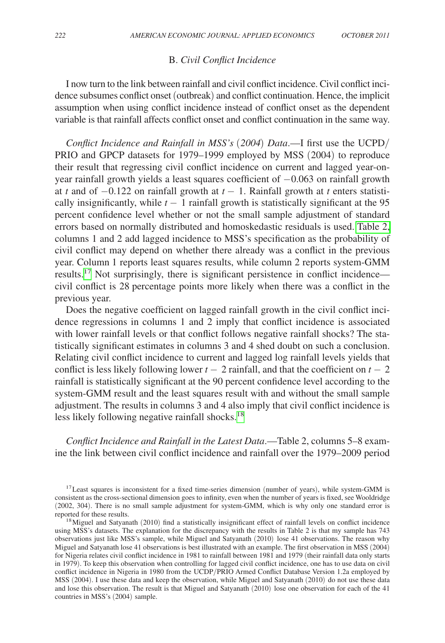#### B. *Civil Conflict Incidence*

<span id="page-7-0"></span>I now turn to the link between rainfall and civil conflict incidence. Civil conflict incidence subsumes conflict onset (outbreak) and conflict continuation. Hence, the implicit assumption when using conflict incidence instead of conflict onset as the dependent variable is that rainfall affects conflict onset and conflict continuation in the same way.

*Conflict Incidence and Rainfall in MSS's* (*2004*) *Data*.—I first use the UCPD/ PRIO and GPCP datasets for 1979–1999 employed by MSS (2004) to reproduce their result that regressing civil conflict incidence on current and lagged year-onyear rainfall growth yields a least squares coefficient of  $-0.063$  on rainfall growth at *t* and of  $-0.122$  on rainfall growth at  $t-1$ . Rainfall growth at *t* enters statistically insignificantly, while  $t - 1$  rainfall growth is statistically significant at the 95 percent confidence level whether or not the small sample adjustment of standard errors based on normally distributed and homoskedastic residuals is used. [Table 2,](#page-8-0)  columns 1 and 2 add lagged incidence to MSS's specification as the probability of civil conflict may depend on whether there already was a conflict in the previous year. Column 1 reports least squares results, while column 2 reports system-GMM results.[17](#page-7-1) Not surprisingly, there is significant persistence in conflict incidence civil conflict is 28 percentage points more likely when there was a conflict in the previous year.

Does the negative coefficient on lagged rainfall growth in the civil conflict incidence regressions in columns 1 and 2 imply that conflict incidence is associated with lower rainfall levels or that conflict follows negative rainfall shocks? The statistically significant estimates in columns 3 and 4 shed doubt on such a conclusion. Relating civil conflict incidence to current and lagged log rainfall levels yields that conflict is less likely following lower  $t - 2$  rainfall, and that the coefficient on  $t - 2$ rainfall is statistically significant at the 90 percent confidence level according to the system-GMM result and the least squares result with and without the small sample adjustment. The results in columns 3 and 4 also imply that civil conflict incidence is less likely following negative rainfall shocks.<sup>[18](#page-7-2)</sup>

*Conflict Incidence and Rainfall in the Latest Data*.—Table 2, columns 5–8 examine the link between civil conflict incidence and rainfall over the 1979–2009 period

<span id="page-7-1"></span><sup>&</sup>lt;sup>17</sup> Least squares is inconsistent for a fixed time-series dimension (number of years), while system-GMM is consistent as the cross-sectional dimension goes to infinity, even when the number of years is fixed, see Wooldridge (2002, 304). There is no small sample adjustment for system-GMM, which is why only one standard error is

<span id="page-7-2"></span> $18$ Miguel and Satyanath (2010) find a statistically insignificant effect of rainfall levels on conflict incidence using MSS's datasets. The explanation for the discrepancy with the results in Table 2 is that my sample has 743 observations just like MSS's sample, while Miguel and Satyanath (2010) lose 41 observations. The reason why Miguel and Satyanath lose 41 observations is best illustrated with an example. The first observation in MSS (2004) for Nigeria relates civil conflict incidence in 1981 to rainfall between 1981 and 1979 (their rainfall data only starts in 1979). To keep this observation when controlling for lagged civil conflict incidence, one has to use data on civil conflict incidence in Nigeria in 1980 from the UCDP/PRIO Armed Conflict Database Version 1.2a employed by MSS (2004). I use these data and keep the observation, while Miguel and Satyanath (2010) do not use these data and lose this observation. The result is that Miguel and Satyanath (2010) lose one observation for each of the 41 countries in MSS's (2004) sample.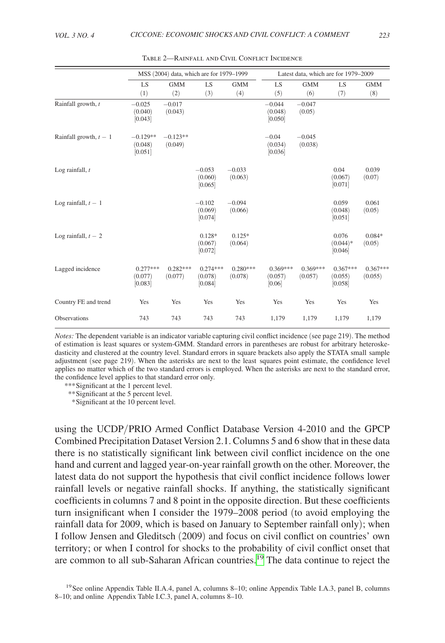<span id="page-8-0"></span>

|                          | MSS (2004) data, which are for 1979-1999 |                       |                                  | Latest data, which are for 1979-2009 |                                 |                       |                                  |                       |
|--------------------------|------------------------------------------|-----------------------|----------------------------------|--------------------------------------|---------------------------------|-----------------------|----------------------------------|-----------------------|
|                          | LS                                       | <b>GMM</b>            | LS                               | <b>GMM</b>                           | LS                              | <b>GMM</b>            | LS                               | <b>GMM</b>            |
|                          | (1)                                      | (2)                   | (3)                              | (4)                                  | (5)                             | (6)                   | (7)                              | (8)                   |
| Rainfall growth, t       | $-0.025$<br>(0.040)<br>[0.043]           | $-0.017$<br>(0.043)   |                                  |                                      | $-0.044$<br>(0.048)<br>[0.050]  | $-0.047$<br>(0.05)    |                                  |                       |
| Rainfall growth, $t - 1$ | $-0.129**$<br>(0.048)<br>[0.051]         | $-0.123**$<br>(0.049) |                                  |                                      | $-0.04$<br>(0.034)<br>[0.036]   | $-0.045$<br>(0.038)   |                                  |                       |
| Log rainfall, $t$        |                                          |                       | $-0.053$<br>(0.060)<br>[0.065]   | $-0.033$<br>(0.063)                  |                                 |                       | 0.04<br>(0.067)<br>[0.071]       | 0.039<br>(0.07)       |
| Log rainfall, $t - 1$    |                                          |                       | $-0.102$<br>(0.069)<br>[0.074]   | $-0.094$<br>(0.066)                  |                                 |                       | 0.059<br>(0.048)<br>[0.051]      | 0.061<br>(0.05)       |
| Log rainfall, $t - 2$    |                                          |                       | $0.128*$<br>(0.067)<br>[0.072]   | $0.125*$<br>(0.064)                  |                                 |                       | 0.076<br>$(0.044)*$<br>[0.046]   | $0.084*$<br>(0.05)    |
| Lagged incidence         | $0.277***$<br>(0.077)<br>[0.083]         | $0.282***$<br>(0.077) | $0.274***$<br>(0.078)<br>[0.084] | $0.280***$<br>(0.078)                | $0.369***$<br>(0.057)<br>[0.06] | $0.369***$<br>(0.057) | $0.367***$<br>(0.055)<br>[0.058] | $0.367***$<br>(0.055) |
| Country FE and trend     | Yes                                      | Yes                   | Yes                              | Yes                                  | Yes                             | Yes                   | Yes                              | Yes                   |
| <b>Observations</b>      | 743                                      | 743                   | 743                              | 743                                  | 1,179                           | 1,179                 | 1,179                            | 1,179                 |

Table 2—Rainfall and Civil Conflict Incidence

*Notes:* The dependent variable is an indicator variable capturing civil conflict incidence (see page 219). The method of estimation is least squares or system-GMM. Standard errors in parentheses are robust for arbitrary heteroskedasticity and clustered at the country level. Standard errors in square brackets also apply the STATA small sample adjustment (see page 219). When the asterisks are next to the least squares point estimate, the confidence level applies no matter which of the two standard errors is employed. When the asterisks are next to the standard error, the confidence level applies to that standard error only.

*\*\*\**Significant at the 1 percent level.

*\*\**Significant at the 5 percent level.

 *\**Significant at the 10 percent level.

using the UCDP/PRIO Armed Conflict Database Version 4-2010 and the GPCP Combined Precipitation Dataset Version 2.1. Columns 5 and 6 show that in these data there is no statistically significant link between civil conflict incidence on the one hand and current and lagged year-on-year rainfall growth on the other. Moreover, the latest data do not support the hypothesis that civil conflict incidence follows lower rainfall levels or negative rainfall shocks. If anything, the statistically significant coefficients in columns 7 and 8 point in the opposite direction. But these coefficients turn insignificant when I consider the 1979–2008 period (to avoid employing the rainfall data for 2009, which is based on January to September rainfall only); when I follow Jensen and Gleditsch (2009) and focus on civil conflict on countries' own territory; or when I control for shocks to the probability of civil conflict onset that are common to all sub-Saharan African countries.[19](#page-8-1) The data continue to reject the

<span id="page-8-1"></span><sup>19</sup>See online Appendix Table II.A.4, panel A, columns 8–10; online Appendix Table I.A.3, panel B, columns 8–10; and online Appendix Table I.C.3, panel A, columns 8–10.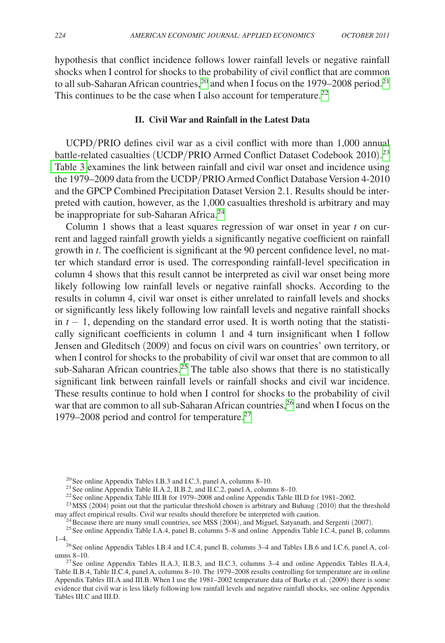<span id="page-9-0"></span>hypothesis that conflict incidence follows lower rainfall levels or negative rainfall shocks when I control for shocks to the probability of civil conflict that are common to all sub-Saharan African countries,<sup>[20](#page-9-1)</sup> and when I focus on the 1979–2008 period.<sup>[21](#page-9-2)</sup> This continues to be the case when I also account for temperature.<sup>[22](#page-9-3)</sup>

## **II. Civil War and Rainfall in the Latest Data**

UCPD/PRIO defines civil war as a civil conflict with more than 1,000 annual battle-related casualties (UCDP/PRIO Armed Conflict Dataset Codebook 2010).<sup>[23](#page-9-4)</sup> [Table 3](#page-10-0) examines the link between rainfall and civil war onset and incidence using the 1979–2009 data from the UCDP/PRIO Armed Conflict Database Version 4-2010 and the GPCP Combined Precipitation Dataset Version 2.1. Results should be interpreted with caution, however, as the 1,000 casualties threshold is arbitrary and may be inappropriate for sub-Saharan Africa.<sup>[24](#page-9-5)</sup>

Column 1 shows that a least squares regression of war onset in year *t* on current and lagged rainfall growth yields a significantly negative coefficient on rainfall growth in *t*. The coefficient is significant at the 90 percent confidence level, no matter which standard error is used. The corresponding rainfall-level specification in column 4 shows that this result cannot be interpreted as civil war onset being more likely following low rainfall levels or negative rainfall shocks. According to the results in column 4, civil war onset is either unrelated to rainfall levels and shocks or significantly less likely following low rainfall levels and negative rainfall shocks in  $t - 1$ , depending on the standard error used. It is worth noting that the statistically significant coefficients in column 1 and 4 turn insignificant when I follow Jensen and Gleditsch (2009) and focus on civil wars on countries' own territory, or when I control for shocks to the probability of civil war onset that are common to all sub-Saharan African countries.<sup>[25](#page-9-6)</sup> The table also shows that there is no statistically significant link between rainfall levels or rainfall shocks and civil war incidence. These results continue to hold when I control for shocks to the probability of civil war that are common to all sub-Saharan African countries,<sup>26</sup> and when I focus on the 1979–2008 period and control for temperature.[27](#page-9-8)

<span id="page-9-1"></span>

<span id="page-9-3"></span><span id="page-9-2"></span>

<span id="page-9-4"></span>

<sup>&</sup>lt;sup>20</sup> See online Appendix Tables I.B.3 and I.C.3, panel A, columns 8–10.<br><sup>21</sup> See online Appendix Table II.A.2, II.B.2, and II.C.2, panel A, columns 8–10.<br><sup>22</sup> See online Appendix Table III.B for 1979–2008 and online Appen

<span id="page-9-6"></span><span id="page-9-5"></span>

<sup>&</sup>lt;sup>24</sup> Because there are many small countries, see MSS (2004), and Miguel, Satyanath, and Sergenti (2007).<br><sup>25</sup> See online Appendix Table I.A.4, panel B, columns 5–8 and online Appendix Table I.C.4, panel B, columns

<span id="page-9-7"></span><sup>&</sup>lt;sup>26</sup>See online Appendix Tables I.B.4 and I.C.4, panel B, columns 3–4 and Tables I.B.6 and I.C.6, panel A, col-

<span id="page-9-8"></span><sup>&</sup>lt;sup>27</sup>See online Appendix Tables II.A.3, II.B.3, and II.C.3, columns  $3-4$  and online Appendix Tables II.A.4, Table II.B.4, Table II.C.4, panel A, columns 8–10. The 1979–2008 results controlling for temperature are in online Appendix Tables III.A and III.B. When I use the 1981–2002 temperature data of Burke et al. (2009) there is some evidence that civil war is less likely following low rainfall levels and negative rainfall shocks, see online Appendix Tables III.C and III.D.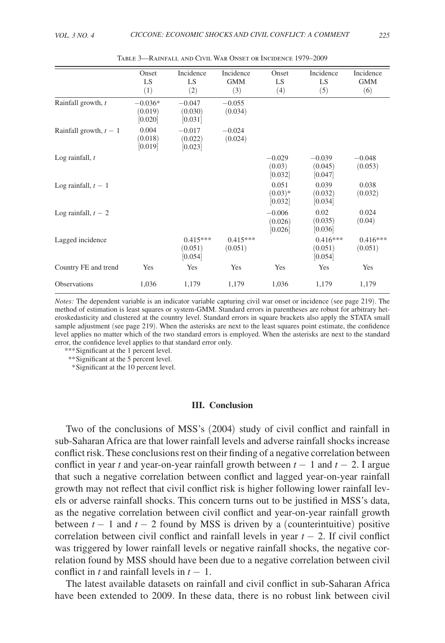<span id="page-10-0"></span>

|                          | Onset<br>LS<br>(1)              | Incidence<br>LS<br>(2)           | Incidence<br><b>GMM</b><br>(3) | Onset<br>LS<br>(4)             | Incidence<br>LS<br>(5)           | Incidence<br><b>GMM</b><br>(6) |
|--------------------------|---------------------------------|----------------------------------|--------------------------------|--------------------------------|----------------------------------|--------------------------------|
| Rainfall growth, t       | $-0.036*$<br>(0.019)<br>[0.020] | $-0.047$<br>(0.030)<br>[0.031]   | $-0.055$<br>(0.034)            |                                |                                  |                                |
| Rainfall growth, $t - 1$ | 0.004<br>(0.018)<br>[0.019]     | $-0.017$<br>(0.022)<br>[0.023]   | $-0.024$<br>(0.024)            |                                |                                  |                                |
| Log rainfall, $t$        |                                 |                                  |                                | $-0.029$<br>(0.03)<br>[0.032]  | $-0.039$<br>(0.045)<br>[0.047]   | $-0.048$<br>(0.053)            |
| Log rainfall, $t-1$      |                                 |                                  |                                | 0.051<br>$(0.03)*$<br>[0.032]  | 0.039<br>(0.032)<br>[0.034]      | 0.038<br>(0.032)               |
| Log rainfall, $t-2$      |                                 |                                  |                                | $-0.006$<br>(0.026)<br>[0.026] | 0.02<br>(0.035)<br>[0.036]       | 0.024<br>(0.04)                |
| Lagged incidence         |                                 | $0.415***$<br>(0.051)<br>[0.054] | $0.415***$<br>(0.051)          |                                | $0.416***$<br>(0.051)<br>[0.054] | $0.416***$<br>(0.051)          |
| Country FE and trend     | Yes                             | Yes                              | Yes                            | Yes                            | Yes                              | Yes                            |
| Observations             | 1,036                           | 1,179                            | 1,179                          | 1,036                          | 1,179                            | 1,179                          |

Table 3—Rainfall and Civil War Onset or Incidence 1979–2009

*Notes:* The dependent variable is an indicator variable capturing civil war onset or incidence (see page 219). The method of estimation is least squares or system-GMM. Standard errors in parentheses are robust for arbitrary heteroskedasticity and clustered at the country level. Standard errors in square brackets also apply the STATA small sample adjustment (see page 219). When the asterisks are next to the least squares point estimate, the confidence level applies no matter which of the two standard errors is employed. When the asterisks are next to the standard error, the confidence level applies to that standard error only.

*\*\*\**Significant at the 1 percent level.

*\*\**Significant at the 5 percent level.

 *\**Significant at the 10 percent level.

#### **III. Conclusion**

Two of the conclusions of MSS's (2004) study of civil conflict and rainfall in sub-Saharan Africa are that lower rainfall levels and adverse rainfall shocks increase conflict risk. These conclusions rest on their finding of a negative correlation between conflict in year t and year-on-year rainfall growth between  $t - 1$  and  $t - 2$ . I argue that such a negative correlation between conflict and lagged year-on-year rainfall growth may not reflect that civil conflict risk is higher following lower rainfall levels or adverse rainfall shocks. This concern turns out to be justified in MSS's data, as the negative correlation between civil conflict and year-on-year rainfall growth between  $t - 1$  and  $t - 2$  found by MSS is driven by a (counterintuitive) positive correlation between civil conflict and rainfall levels in year  $t - 2$ . If civil conflict was triggered by lower rainfall levels or negative rainfall shocks, the negative correlation found by MSS should have been due to a negative correlation between civil conflict in *t* and rainfall levels in  $t - 1$ .

The latest available datasets on rainfall and civil conflict in sub-Saharan Africa have been extended to 2009. In these data, there is no robust link between civil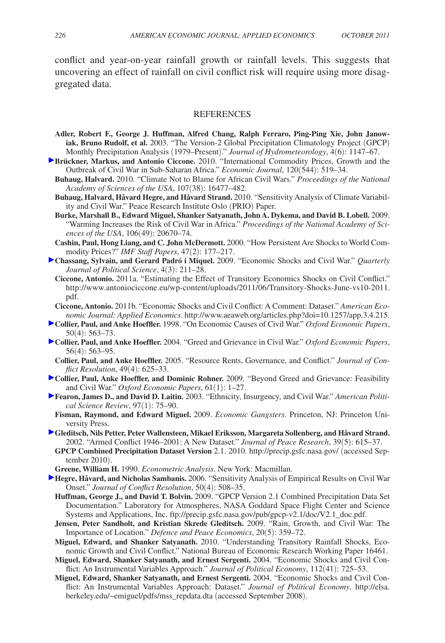<span id="page-11-0"></span>conflict and year-on-year rainfall growth or rainfall levels. This suggests that uncovering an effect of rainfall on civil conflict risk will require using more disaggregated data.

#### **REFERENCES**

- **Adler, Robert F., George J. Huffman, Alfred Chang, Ralph Ferraro, Ping-Ping Xie, John Janowiak, Bruno Rudolf, et al.** 2003. "The Version-2 Global Precipitation Climatology Project (GPCP) Monthly Precipitation Analysis (1979–Present)." *Journal of Hydrometeorology*, 4(6): 1147–67.
- **Brückner, Markus, and Antonio Ciccone.** 2010. "International Commodity Prices, Growth and the Outbreak of Civil War in Sub-Saharan Africa." *Economic Journal*, 120(544): 519–34.
- **Buhaug, Halvard.** 2010. "Climate Not to Blame for African Civil Wars." *Proceedings of the National Academy of Sciences of the USA*, 107(38): 16477–482.
- **Buhaug, Halvard, Håvard Hegre, and Håvard Strand.** 2010. "Sensitivity Analysis of Climate Variability and Civil War." Peace Research Institute Oslo (PRIO) Paper.
- **Burke, Marshall B., Edward Miguel, Shanker Satyanath, John A. Dykema, and David B. Lobell.** 2009. "Warming Increases the Risk of Civil War in Africa." *Proceedings of the National Academy of Sciences of the USA*, 106(49): 20670–74.
- **Cashin, Paul, Hong Liang, and C. John McDermott.** 2000. "How Persistent Are Shocks to World Commodity Prices?" *IMF Staff Papers*, 47(2): 177–217.
- **Chassang, Sylvain, and Gerard Padró i Miquel.** 2009. "Economic Shocks and Civil War." *Quarterly Journal of Political Science*, 4(3): 211–28.
	- **Ciccone, Antonio.** 2011a. "Estimating the Effect of Transitory Economics Shocks on Civil Conflict." [http://www.antoniociccone.eu/wp-content/uploads/2011/06/Transitory-Shocks-June-vs10-2011.](http://www.antoniociccone.eu/wp-content/uploads/2011/06/Transitory-Shocks-June-vs10-2011.pdf) [pdf.](http://www.antoniociccone.eu/wp-content/uploads/2011/06/Transitory-Shocks-June-vs10-2011.pdf)
- **Ciccone, Antonio.** 2011b. "Economic Shocks and Civil Conflict: A Comment: Dataset." *American Economic Journal: Applied Economics*. [http://www.aeaweb.org/articles.php?doi=10.1257/app.3.4.215.](http://www.aeaweb.org/articles.php?doi=10.1257/app.3.4.215)
- **Collier, Paul, and Anke Hoeffler.** 1998. "On Economic Causes of Civil War." *Oxford Economic Papers*, 50(4): 563–73.
- **Collier, Paul, and Anke Hoeffler.** 2004. "Greed and Grievance in Civil War." *Oxford Economic Papers*, 56(4): 563–95.
- **Collier, Paul, and Anke Hoeffler.** 2005. "Resource Rents, Governance, and Conflict." *Journal of Conflict Resolution*, 49(4): 625–33.
- **Collier, Paul, Anke Hoeffler, and Dominic Rohner.** 2009. "Beyond Greed and Grievance: Feasibility and Civil War." *Oxford Economic Papers*, 61(1): 1–27.
- **Fearon, James D., and David D. Laitin.** 2003. "Ethnicity, Insurgency, and Civil War." *American Political Science Review*, 97(1): 75–90.
- **Fisman, Raymond, and Edward Miguel.** 2009. *Economic Gangsters*. Princeton, NJ: Princeton University Press.
- **Gleditsch, Nils Petter, Peter Wallensteen, Mikael Eriksson, Margareta Sollenberg, and Håvard Strand.**  2002. "Armed Conflict 1946–2001: A New Dataset." *Journal of Peace Research*, 39(5): 615–37.
- **GPCP Combined Precipitation Dataset Version** 2.1. 2010.<http://precip.gsfc.nasa.gov/>(accessed September 2010).
- **Greene, William H.** 1990. *Econometric Analysis*. New York: Macmillan.
- **Hegre, Håvard, and Nicholas Sambanis.** 2006. "Sensitivity Analysis of Empirical Results on Civil War Onset." *Journal of Conflict Resolution*, 50(4): 508–35.
	- **Huffman, George J., and David T. Bolvin.** 2009. "GPCP Version 2.1 Combined Precipitation Data Set Documentation." Laboratory for Atmospheres, NASA Goddard Space Flight Center and Science Systems and Applications, Inc. [ftp://precip.gsfc.nasa.gov/pub/gpcp-v2.1/doc/V2.1\\_doc.pdf.](http://ftp://precip.gsfc.nasa.gov/pub/gpcp-v2.1/doc/V2.1_doc.pdf)
	- **Jensen, Peter Sandholt, and Kristian Skrede Gleditsch.** 2009. "Rain, Growth, and Civil War: The Importance of Location." *Defence and Peace Economics*, 20(5): 359–72.
	- **Miguel, Edward, and Shanker Satyanath.** 2010. "Understanding Transitory Rainfall Shocks, Economic Growth and Civil Conflict." National Bureau of Economic Research Working Paper 16461.
	- **Miguel, Edward, Shanker Satyanath, and Ernest Sergenti.** 2004. "Economic Shocks and Civil Conflict: An Instrumental Variables Approach." *Journal of Political Economy*, 112(41): 725–53.
	- **Miguel, Edward, Shanker Satyanath, and Ernest Sergenti.** 2004. "Economic Shocks and Civil Conflict: An Instrumental Variables Approach: Dataset." *Journal of Political Economy*. [http://elsa.](http://elsa.berkeley.edu/~emiguel/pdfs/mss_repdata.dta) [berkeley.edu/~emiguel/pdfs/mss\\_repdata.dta](http://elsa.berkeley.edu/~emiguel/pdfs/mss_repdata.dta) (accessed September 2008).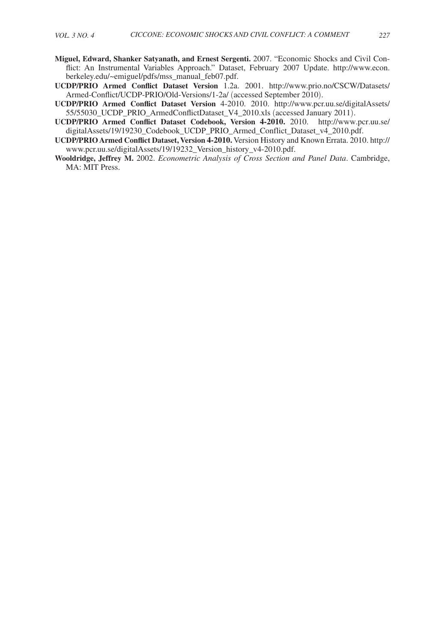- **Miguel, Edward, Shanker Satyanath, and Ernest Sergenti.** 2007. "Economic Shocks and Civil Conflict: An Instrumental Variables Approach." Dataset, February 2007 Update. [http://www.econ.](http://www.econ.berkeley.edu/~emiguel/pdfs/mss_manual_feb07.pdf) [berkeley.edu/~emiguel/pdfs/mss\\_manual\\_feb07.pdf.](http://www.econ.berkeley.edu/~emiguel/pdfs/mss_manual_feb07.pdf)
- **UCDP/PRIO Armed Conflict Dataset Version** 1.2a. 2001. [http://www.prio.no/CSCW/Datasets/](http://www.prio.no/CSCW/Datasets/Armed-Conflict/UCDP-PRIO/Old-Versions/1-2a/) [Armed-Conflict/UCDP-PRIO/Old-Versions/1-2a/](http://www.prio.no/CSCW/Datasets/Armed-Conflict/UCDP-PRIO/Old-Versions/1-2a/) (accessed September 2010).
- **UCDP/PRIO Armed Conflict Dataset Version** 4-2010. 2010. [http://www.pcr.uu.se/digitalAssets/](http://www.pcr.uu.se/digitalAssets/55/55030_UCDP_PRIO_ArmedConflictDataset_V4_2010.xls) [55/55030\\_UCDP\\_PRIO\\_ArmedConflictDataset\\_V4\\_2010.xls](http://www.pcr.uu.se/digitalAssets/55/55030_UCDP_PRIO_ArmedConflictDataset_V4_2010.xls) (accessed January 2011).
- **UCDP/PRIO Armed Conflict Dataset Codebook, Version 4-2010.** 2010. [http://www.pcr.uu.se/](http://www.pcr.uu.se/digitalAssets/19/19230_Codebook_UCDP_PRIO_Armed_Conflict_Dataset_v4_2010.pdf) [digitalAssets/19/19230\\_Codebook\\_UCDP\\_PRIO\\_Armed\\_Conflict\\_Dataset\\_v4\\_2010.pdf](http://www.pcr.uu.se/digitalAssets/19/19230_Codebook_UCDP_PRIO_Armed_Conflict_Dataset_v4_2010.pdf).
- **UCDP/PRIO Armed Conflict Dataset, Version 4-2010.** Version History and Known Errata. 2010. [http://](http://www.pcr.uu.se/digitalAssets/19/19232_Version_history_v4-2010.pdf) [www.pcr.uu.se/digitalAssets/19/19232\\_Version\\_history\\_v4-2010.pdf.](http://www.pcr.uu.se/digitalAssets/19/19232_Version_history_v4-2010.pdf)
- **Wooldridge, Jeffrey M.** 2002. *Econometric Analysis of Cross Section and Panel Data*. Cambridge, MA: MIT Press.